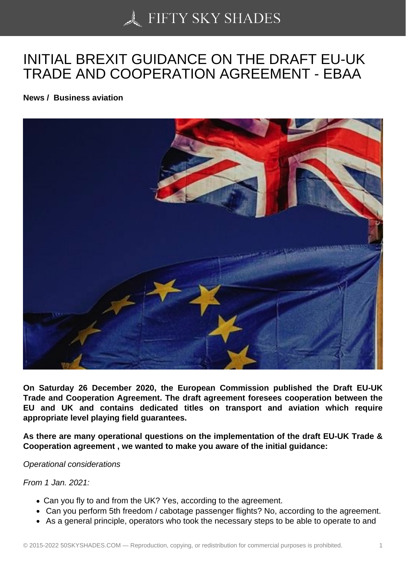# [INITIAL BREXIT GUID](https://50skyshades.com)ANCE ON THE DRAFT EU-UK TRADE AND COOPERATION AGREEMENT - EBAA

News / Business aviation

On Saturday 26 December 2020, the European Commission published the Draft EU-UK Trade and Cooperation Agreement. The draft agreement foresees cooperation between the EU and UK and contains dedicated titles on transport and aviation which require appropriate level playing field guarantees.

As there are many operational questions on the implementation of the draft EU-UK Trade & Cooperation agreement , we wanted to make you aware of the initial guidance:

Operational considerations

From 1 Jan. 2021:

- Can you fly to and from the UK? Yes, according to the agreement.
- Can you perform 5th freedom / cabotage passenger flights? No, according to the agreement.
- As a general principle, operators who took the necessary steps to be able to operate to and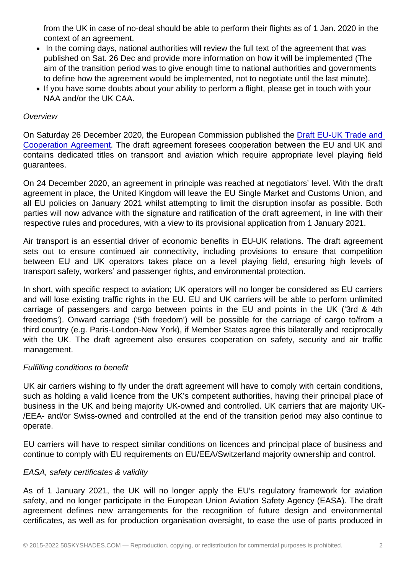context of an agreement.

- In the coming days, national authorities will review the full text of the agreement that was published on Sat. 26 Dec and provide more information on how it will be implemented (The aim of the transition period was to give enough time to national authorities and governments to define how the agreement would be implemented, not to negotiate until the last minute).
- If you have some doubts about your ability to perform a flight, please get in touch with your NAA and/or the UK CAA.

## **Overview**

On Saturday 26 December 2020, the European Commission published the Draft EU-UK Trade and Cooperation Agreement. The draft agreement foresees cooperation between the EU and UK and contains dedicated titles on transport and aviation which require appropriate level playing field guarantees.

[On 24 December 2020,](https://ec.europa.eu/info/sites/info/files/draft_eu-uk_trade_and_cooperation_agreement.pdf) an agreement in principle was reached at negotiators' level. With the draft agreement in place, the United Kingdom will leave the EU Single Market and Customs Union, and all EU policies on January 2021 whilst attempting to limit the disruption insofar as possible. Both parties will now advance with the signature and ratification of the draft agreement, in line with their respective rules and procedures, with a view to its provisional application from 1 January 2021.

Air transport is an essential driver of economic benefits in EU-UK relations. The draft agreement sets out to ensure continued air connectivity, including provisions to ensure that competition between EU and UK operators takes place on a level playing field, ensuring high levels of transport safety, workers' and passenger rights, and environmental protection.

In short, with specific respect to aviation; UK operators will no longer be considered as EU carriers and will lose existing traffic rights in the EU. EU and UK carriers will be able to perform unlimited carriage of passengers and cargo between points in the EU and points in the UK ('3rd & 4th freedoms'). Onward carriage ('5th freedom') will be possible for the carriage of cargo to/from a third country (e.g. Paris-London-New York), if Member States agree this bilaterally and reciprocally with the UK. The draft agreement also ensures cooperation on safety, security and air traffic management.

# Fulfilling conditions to benefit

UK air carriers wishing to fly under the draft agreement will have to comply with certain conditions, such as holding a valid licence from the UK's competent authorities, having their principal place of business in the UK and being majority UK-owned and controlled. UK carriers that are majority UK- /EEA- and/or Swiss-owned and controlled at the end of the transition period may also continue to operate.

EU carriers will have to respect similar conditions on licences and principal place of business and continue to comply with EU requirements on EU/EEA/Switzerland majority ownership and control.

### EASA, safety certificates & validity

As of 1 January 2021, the UK will no longer apply the EU's regulatory framework for aviation safety, and no longer participate in the European Union Aviation Safety Agency (EASA). The draft agreement defines new arrangements for the recognition of future design and environmental certificates, as well as for production organisation oversight, to ease the use of parts produced in